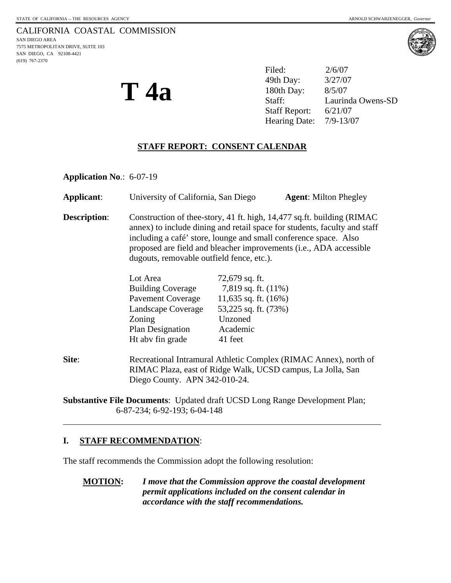# CALIFORNIA COASTAL COMMISSION

SAN DIEGO AREA 7575 METROPOLITAN DRIVE, SUITE 103 SAN DIEGO, CA 92108-4421 (619) 767-2370



**T 4a** 

Filed: 2/6/07 49th Day: 3/27/07 180th Day: 8/5/07 Staff: Laurinda Owens-SD Staff Report: 6/21/07 Hearing Date: 7/9-13/07

# **STAFF REPORT: CONSENT CALENDAR**

**Application No**.: 6-07-19

| Applicant: | University of California, San Diego | <b>Agent:</b> Milton Phegley |
|------------|-------------------------------------|------------------------------|
|------------|-------------------------------------|------------------------------|

**Description:** Construction of thee-story, 41 ft. high, 14,477 sq.ft. building (RIMAC) annex) to include dining and retail space for students, faculty and staff including a café' store, lounge and small conference space. Also proposed are field and bleacher improvements (i.e., ADA accessible dugouts, removable outfield fence, etc.).

| Lot Area                 | 72,679 sq. ft.          |
|--------------------------|-------------------------|
| <b>Building Coverage</b> | 7,819 sq. ft. (11%)     |
| <b>Pavement Coverage</b> | 11,635 sq. ft. $(16\%)$ |
| Landscape Coverage       | 53,225 sq. ft. (73%)    |
| Zoning                   | Unzoned                 |
| Plan Designation         | Academic                |
| Ht abv fin grade         | 41 feet                 |
|                          |                         |

**Site:** Recreational Intramural Athletic Complex (RIMAC Annex), north of RIMAC Plaza, east of Ridge Walk, UCSD campus, La Jolla, San Diego County. APN 342-010-24.

**Substantive File Documents**: Updated draft UCSD Long Range Development Plan; 6-87-234; 6-92-193; 6-04-148

# **I. STAFF RECOMMENDATION**:

 $\overline{a}$ 

The staff recommends the Commission adopt the following resolution:

**MOTION:** *I move that the Commission approve the coastal development permit applications included on the consent calendar in accordance with the staff recommendations.*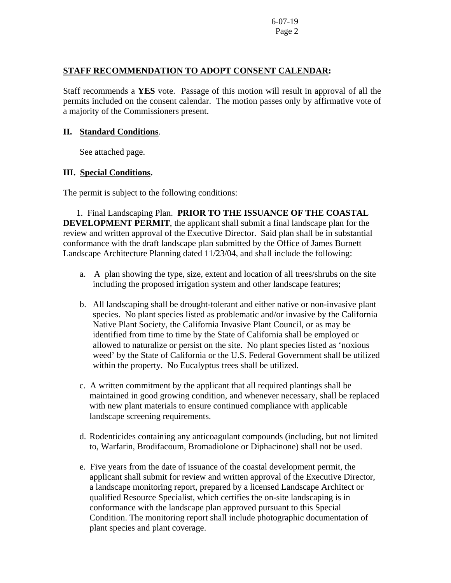## **STAFF RECOMMENDATION TO ADOPT CONSENT CALENDAR:**

Staff recommends a **YES** vote. Passage of this motion will result in approval of all the permits included on the consent calendar. The motion passes only by affirmative vote of a majority of the Commissioners present.

#### **II. Standard Conditions**.

See attached page.

## **III. Special Conditions.**

The permit is subject to the following conditions:

1. Final Landscaping Plan. **PRIOR TO THE ISSUANCE OF THE COASTAL DEVELOPMENT PERMIT**, the applicant shall submit a final landscape plan for the review and written approval of the Executive Director. Said plan shall be in substantial conformance with the draft landscape plan submitted by the Office of James Burnett Landscape Architecture Planning dated 11/23/04, and shall include the following:

- a. A plan showing the type, size, extent and location of all trees/shrubs on the site including the proposed irrigation system and other landscape features;
- b. All landscaping shall be drought-tolerant and either native or non-invasive plant species. No plant species listed as problematic and/or invasive by the California Native Plant Society, the California Invasive Plant Council, or as may be identified from time to time by the State of California shall be employed or allowed to naturalize or persist on the site. No plant species listed as 'noxious weed' by the State of California or the U.S. Federal Government shall be utilized within the property. No Eucalyptus trees shall be utilized.
- c. A written commitment by the applicant that all required plantings shall be maintained in good growing condition, and whenever necessary, shall be replaced with new plant materials to ensure continued compliance with applicable landscape screening requirements.
- d. Rodenticides containing any anticoagulant compounds (including, but not limited to, Warfarin, Brodifacoum, Bromadiolone or Diphacinone) shall not be used.
- e. Five years from the date of issuance of the coastal development permit, the applicant shall submit for review and written approval of the Executive Director, a landscape monitoring report, prepared by a licensed Landscape Architect or qualified Resource Specialist, which certifies the on-site landscaping is in conformance with the landscape plan approved pursuant to this Special Condition. The monitoring report shall include photographic documentation of plant species and plant coverage.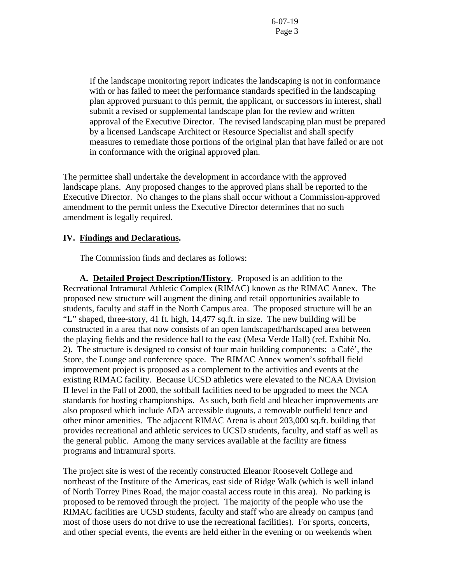If the landscape monitoring report indicates the landscaping is not in conformance with or has failed to meet the performance standards specified in the landscaping plan approved pursuant to this permit, the applicant, or successors in interest, shall submit a revised or supplemental landscape plan for the review and written approval of the Executive Director. The revised landscaping plan must be prepared by a licensed Landscape Architect or Resource Specialist and shall specify measures to remediate those portions of the original plan that have failed or are not in conformance with the original approved plan.

The permittee shall undertake the development in accordance with the approved landscape plans. Any proposed changes to the approved plans shall be reported to the Executive Director. No changes to the plans shall occur without a Commission-approved amendment to the permit unless the Executive Director determines that no such amendment is legally required.

#### **IV. Findings and Declarations.**

The Commission finds and declares as follows:

**A. Detailed Project Description/History**. Proposed is an addition to the Recreational Intramural Athletic Complex (RIMAC) known as the RIMAC Annex. The proposed new structure will augment the dining and retail opportunities available to students, faculty and staff in the North Campus area. The proposed structure will be an "L" shaped, three-story, 41 ft. high, 14,477 sq.ft. in size. The new building will be constructed in a area that now consists of an open landscaped/hardscaped area between the playing fields and the residence hall to the east (Mesa Verde Hall) (ref. Exhibit No. 2). The structure is designed to consist of four main building components: a Café', the Store, the Lounge and conference space. The RIMAC Annex women's softball field improvement project is proposed as a complement to the activities and events at the existing RIMAC facility. Because UCSD athletics were elevated to the NCAA Division II level in the Fall of 2000, the softball facilities need to be upgraded to meet the NCA standards for hosting championships. As such, both field and bleacher improvements are also proposed which include ADA accessible dugouts, a removable outfield fence and other minor amenities. The adjacent RIMAC Arena is about 203,000 sq.ft. building that provides recreational and athletic services to UCSD students, faculty, and staff as well as the general public. Among the many services available at the facility are fitness programs and intramural sports.

The project site is west of the recently constructed Eleanor Roosevelt College and northeast of the Institute of the Americas, east side of Ridge Walk (which is well inland of North Torrey Pines Road, the major coastal access route in this area). No parking is proposed to be removed through the project. The majority of the people who use the RIMAC facilities are UCSD students, faculty and staff who are already on campus (and most of those users do not drive to use the recreational facilities). For sports, concerts, and other special events, the events are held either in the evening or on weekends when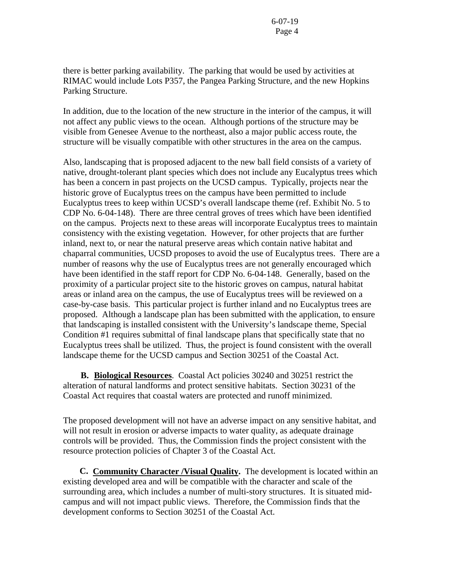there is better parking availability. The parking that would be used by activities at RIMAC would include Lots P357, the Pangea Parking Structure, and the new Hopkins Parking Structure.

In addition, due to the location of the new structure in the interior of the campus, it will not affect any public views to the ocean. Although portions of the structure may be visible from Genesee Avenue to the northeast, also a major public access route, the structure will be visually compatible with other structures in the area on the campus.

Also, landscaping that is proposed adjacent to the new ball field consists of a variety of native, drought-tolerant plant species which does not include any Eucalyptus trees which has been a concern in past projects on the UCSD campus. Typically, projects near the historic grove of Eucalyptus trees on the campus have been permitted to include Eucalyptus trees to keep within UCSD's overall landscape theme (ref. Exhibit No. 5 to CDP No. 6-04-148). There are three central groves of trees which have been identified on the campus. Projects next to these areas will incorporate Eucalyptus trees to maintain consistency with the existing vegetation. However, for other projects that are further inland, next to, or near the natural preserve areas which contain native habitat and chaparral communities, UCSD proposes to avoid the use of Eucalyptus trees. There are a number of reasons why the use of Eucalyptus trees are not generally encouraged which have been identified in the staff report for CDP No. 6-04-148. Generally, based on the proximity of a particular project site to the historic groves on campus, natural habitat areas or inland area on the campus, the use of Eucalyptus trees will be reviewed on a case-by-case basis. This particular project is further inland and no Eucalyptus trees are proposed. Although a landscape plan has been submitted with the application, to ensure that landscaping is installed consistent with the University's landscape theme, Special Condition #1 requires submittal of final landscape plans that specifically state that no Eucalyptus trees shall be utilized. Thus, the project is found consistent with the overall landscape theme for the UCSD campus and Section 30251 of the Coastal Act.

 **B. Biological Resources**. Coastal Act policies 30240 and 30251 restrict the alteration of natural landforms and protect sensitive habitats. Section 30231 of the Coastal Act requires that coastal waters are protected and runoff minimized.

The proposed development will not have an adverse impact on any sensitive habitat, and will not result in erosion or adverse impacts to water quality, as adequate drainage controls will be provided. Thus, the Commission finds the project consistent with the resource protection policies of Chapter 3 of the Coastal Act.

 **C. Community Character /Visual Quality.** The development is located within an existing developed area and will be compatible with the character and scale of the surrounding area, which includes a number of multi-story structures. It is situated midcampus and will not impact public views. Therefore, the Commission finds that the development conforms to Section 30251 of the Coastal Act.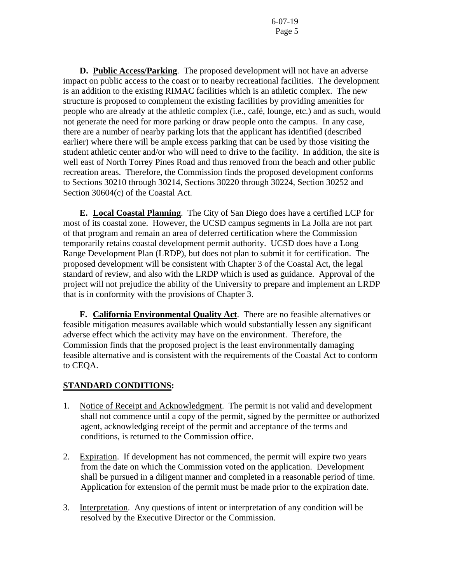**D. Public Access/Parking**. The proposed development will not have an adverse impact on public access to the coast or to nearby recreational facilities. The development is an addition to the existing RIMAC facilities which is an athletic complex. The new structure is proposed to complement the existing facilities by providing amenities for people who are already at the athletic complex (i.e., café, lounge, etc.) and as such, would not generate the need for more parking or draw people onto the campus. In any case, there are a number of nearby parking lots that the applicant has identified (described earlier) where there will be ample excess parking that can be used by those visiting the student athletic center and/or who will need to drive to the facility. In addition, the site is well east of North Torrey Pines Road and thus removed from the beach and other public recreation areas. Therefore, the Commission finds the proposed development conforms to Sections 30210 through 30214, Sections 30220 through 30224, Section 30252 and Section 30604(c) of the Coastal Act.

**E. Local Coastal Planning**. The City of San Diego does have a certified LCP for most of its coastal zone. However, the UCSD campus segments in La Jolla are not part of that program and remain an area of deferred certification where the Commission temporarily retains coastal development permit authority. UCSD does have a Long Range Development Plan (LRDP), but does not plan to submit it for certification. The proposed development will be consistent with Chapter 3 of the Coastal Act, the legal standard of review, and also with the LRDP which is used as guidance. Approval of the project will not prejudice the ability of the University to prepare and implement an LRDP that is in conformity with the provisions of Chapter 3.

 **F. California Environmental Quality Act**. There are no feasible alternatives or feasible mitigation measures available which would substantially lessen any significant adverse effect which the activity may have on the environment. Therefore, the Commission finds that the proposed project is the least environmentally damaging feasible alternative and is consistent with the requirements of the Coastal Act to conform to CEQA.

# **STANDARD CONDITIONS:**

- 1. Notice of Receipt and Acknowledgment. The permit is not valid and development shall not commence until a copy of the permit, signed by the permittee or authorized agent, acknowledging receipt of the permit and acceptance of the terms and conditions, is returned to the Commission office.
- 2. Expiration. If development has not commenced, the permit will expire two years from the date on which the Commission voted on the application. Development shall be pursued in a diligent manner and completed in a reasonable period of time. Application for extension of the permit must be made prior to the expiration date.
- 3. Interpretation. Any questions of intent or interpretation of any condition will be resolved by the Executive Director or the Commission.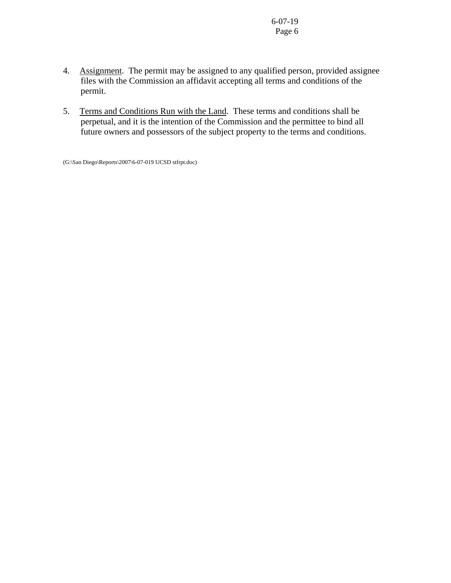- 4. Assignment. The permit may be assigned to any qualified person, provided assignee files with the Commission an affidavit accepting all terms and conditions of the permit.
- 5. Terms and Conditions Run with the Land. These terms and conditions shall be perpetual, and it is the intention of the Commission and the permittee to bind all future owners and possessors of the subject property to the terms and conditions.

(G:\San Diego\Reports\2007\6-07-019 UCSD stfrpt.doc)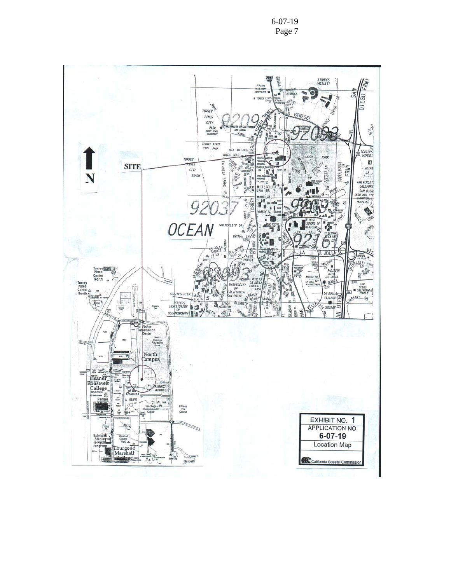6-07-19 Page 7

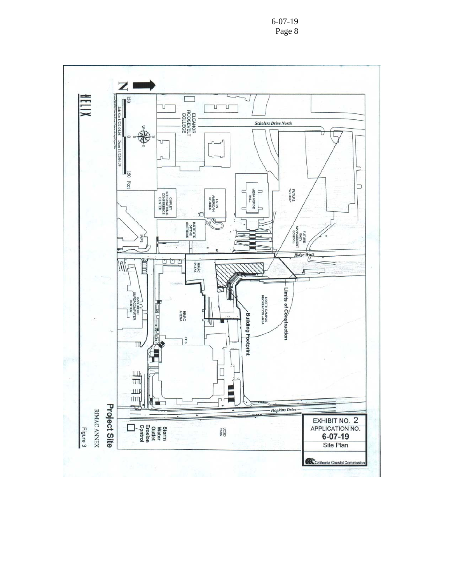